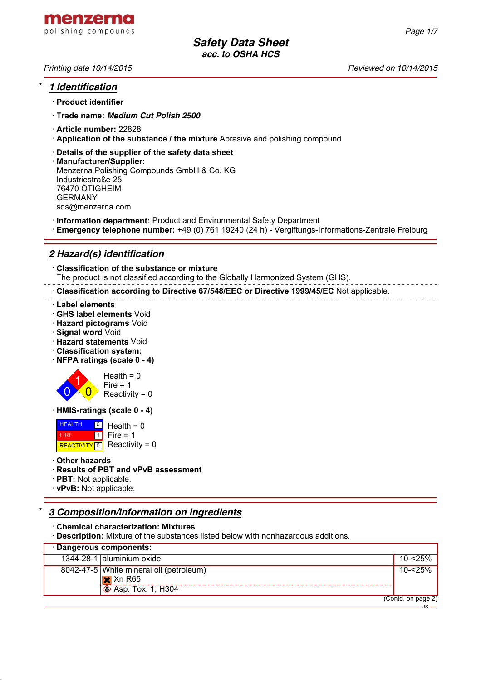

*Printing date 10/14/2015 Reviewed on 10/14/2015*

*Page 1/7*

## \* *1 Identification*

- · **Product identifier**
- · **Trade name:** *Medium Cut Polish 2500*
- · **Article number:** 22828
- · **Application of the substance / the mixture** Abrasive and polishing compound
- · **Details of the supplier of the safety data sheet**
- · **Manufacturer/Supplier:** Menzerna Polishing Compounds GmbH & Co. KG Industriestraße 25 76470 ÖTIGHEIM GERMANY sds@menzerna.com
- · **Information department:** Product and Environmental Safety Department
- · **Emergency telephone number:** +49 (0) 761 19240 (24 h) Vergiftungs-Informations-Zentrale Freiburg

## *2 Hazard(s) identification*

· **Classification of the substance or mixture** The product is not classified according to the Globally Harmonized System (GHS).

· **Classification according to Directive 67/548/EEC or Directive 1999/45/EC** Not applicable.

- · **Label elements**
- · **GHS label elements** Void
- · **Hazard pictograms** Void
- · **Signal word** Void
- · **Hazard statements** Void
- · **Classification system:**
- · **NFPA ratings (scale 0 4)**



· **HMIS-ratings (scale 0 - 4)**

**HEALTH**  FIRE REACTIVITY  $\boxed{0}$  Reactivity = 0  $\overline{\phantom{a}}$ 1  $Health = 0$  $Fire = 1$ 

#### · **Other hazards**

- · **Results of PBT and vPvB assessment**
- · **PBT:** Not applicable.
- · **vPvB:** Not applicable.

## \* *3 Composition/information on ingredients*

· **Chemical characterization: Mixtures**

· **Description:** Mixture of the substances listed below with nonhazardous additions.

| · Dangerous components: |                                                                                               |                    |  |  |
|-------------------------|-----------------------------------------------------------------------------------------------|--------------------|--|--|
|                         | 1344-28-1 aluminium oxide                                                                     | 10-<25%            |  |  |
|                         | 8042-47-5 White mineral oil (petroleum)<br>$\mathbf{X}$ Xn R65<br>$\otimes$ Asp. Tox. 1, H304 | 10-<25%            |  |  |
|                         |                                                                                               | (Contd. on page 2) |  |  |

 $-11S -$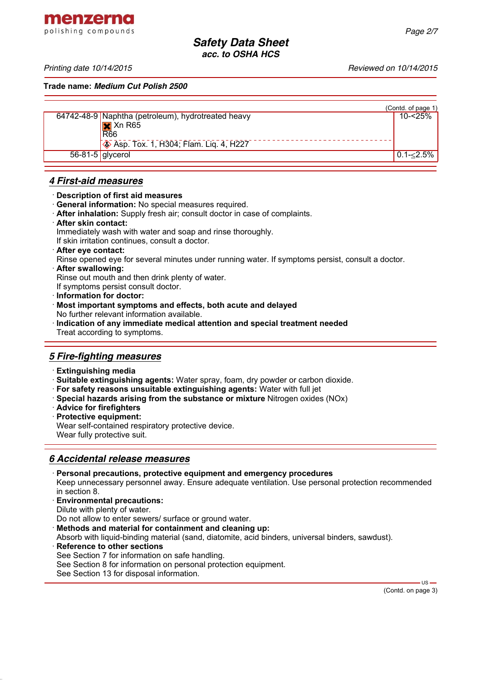menzerna polishing compounds

**Trade name:** *Medium Cut Polish 2500*

|                    |                                                    | (Contd. of page 1) |
|--------------------|----------------------------------------------------|--------------------|
|                    | 64742-48-9 Naphtha (petroleum), hydrotreated heavy | 10-<25%            |
|                    |                                                    |                    |
|                    | $\overline{\mathsf{R}}$ Xn R65                     |                    |
|                    | Asp. Tox. 1, H304; Flam. Liq. 4, H227              |                    |
| $56-81-5$ glycerol |                                                    | $0.1 - 2.5\%$      |
|                    |                                                    |                    |

## *4 First-aid measures*

#### · **Description of first aid measures**

- · **General information:** No special measures required.
- · **After inhalation:** Supply fresh air; consult doctor in case of complaints.
- · **After skin contact:**

Immediately wash with water and soap and rinse thoroughly.

If skin irritation continues, consult a doctor.

- · **After eye contact:**
- Rinse opened eye for several minutes under running water. If symptoms persist, consult a doctor.
- · **After swallowing:**
- Rinse out mouth and then drink plenty of water.
- If symptoms persist consult doctor.
- · **Information for doctor:**
- · **Most important symptoms and effects, both acute and delayed** No further relevant information available.
- · **Indication of any immediate medical attention and special treatment needed** Treat according to symptoms.

## *5 Fire-fighting measures*

- · **Extinguishing media**
- · **Suitable extinguishing agents:** Water spray, foam, dry powder or carbon dioxide.
- · **For safety reasons unsuitable extinguishing agents:** Water with full jet
- · **Special hazards arising from the substance or mixture** Nitrogen oxides (NOx)
- · **Advice for firefighters**
- · **Protective equipment:**

Wear self-contained respiratory protective device. Wear fully protective suit.

## *6 Accidental release measures*

- · **Personal precautions, protective equipment and emergency procedures** Keep unnecessary personnel away. Ensure adequate ventilation. Use personal protection recommended in section 8.
- · **Environmental precautions:**
- Dilute with plenty of water.

Do not allow to enter sewers/ surface or ground water.

- · **Methods and material for containment and cleaning up:**
- Absorb with liquid-binding material (sand, diatomite, acid binders, universal binders, sawdust).
- **Reference to other sections** See Section 7 for information on safe handling.
- See Section 8 for information on personal protection equipment.
- See Section 13 for disposal information.

 $\overline{\mathsf{u}}$ s.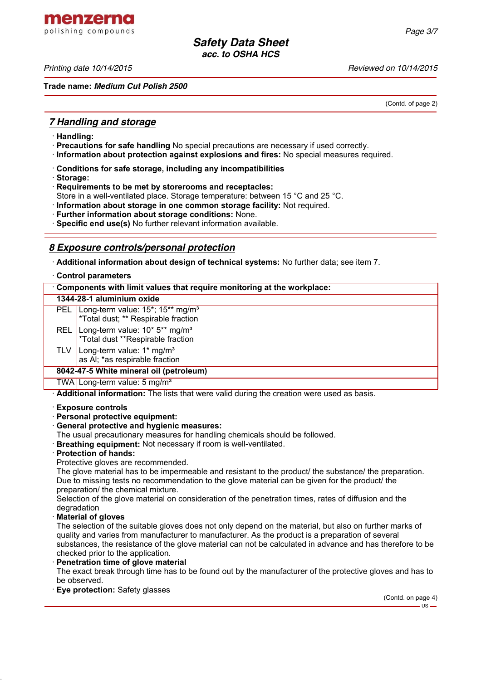menzerna polishing compounds

*Printing date 10/14/2015 Reviewed on 10/14/2015*

**Trade name:** *Medium Cut Polish 2500*

(Contd. of page 2)

## *7 Handling and storage*

- · **Handling:**
- · **Precautions for safe handling** No special precautions are necessary if used correctly.
- · **Information about protection against explosions and fires:** No special measures required.
- · **Conditions for safe storage, including any incompatibilities**
- · **Storage:**
- · **Requirements to be met by storerooms and receptacles:**
- Store in a well-ventilated place. Storage temperature: between 15 °C and 25 °C.
- · **Information about storage in one common storage facility:** Not required.
- · **Further information about storage conditions:** None.
- · **Specific end use(s)** No further relevant information available.

## *8 Exposure controls/personal protection*

· **Additional information about design of technical systems:** No further data; see item 7.

#### · **Control parameters**

| Components with limit values that require monitoring at the workplace: |                                                                                                                  |  |  |  |
|------------------------------------------------------------------------|------------------------------------------------------------------------------------------------------------------|--|--|--|
| 1344-28-1 aluminium oxide                                              |                                                                                                                  |  |  |  |
|                                                                        | PEL Long-term value: 15 <sup>*</sup> ; 15 <sup>**</sup> mg/m <sup>3</sup><br>*Total dust; ** Respirable fraction |  |  |  |
|                                                                        | REL Long-term value: 10* 5** mg/m <sup>3</sup><br>*Total dust **Respirable fraction                              |  |  |  |
| <b>TLV</b>                                                             | Long-term value: $1*$ mg/m <sup>3</sup><br>as AI; *as respirable fraction                                        |  |  |  |
|                                                                        | 8042-47-5 White mineral oil (petroleum)                                                                          |  |  |  |
|                                                                        | TWA Long-term value: $5 \text{ mg/m}^3$                                                                          |  |  |  |

· **Additional information:** The lists that were valid during the creation were used as basis.

#### · **Exposure controls**

#### · **Personal protective equipment:**

#### · **General protective and hygienic measures:**

- The usual precautionary measures for handling chemicals should be followed.
- **Breathing equipment:** Not necessary if room is well-ventilated.
- · **Protection of hands:**

Protective gloves are recommended.

The glove material has to be impermeable and resistant to the product/ the substance/ the preparation. Due to missing tests no recommendation to the glove material can be given for the product/ the preparation/ the chemical mixture.

Selection of the glove material on consideration of the penetration times, rates of diffusion and the degradation

#### · **Material of gloves**

The selection of the suitable gloves does not only depend on the material, but also on further marks of quality and varies from manufacturer to manufacturer. As the product is a preparation of several substances, the resistance of the glove material can not be calculated in advance and has therefore to be checked prior to the application.

#### **Penetration time of glove material**

The exact break through time has to be found out by the manufacturer of the protective gloves and has to be observed.

· **Eye protection:** Safety glasses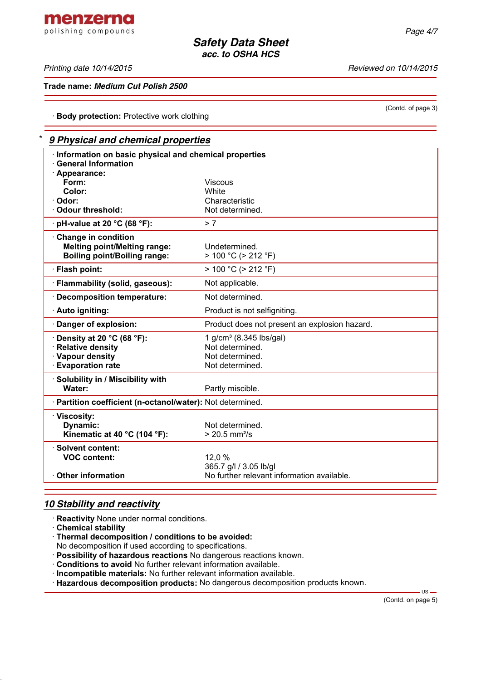(Contd. of page 3)

*Safety Data Sheet acc. to OSHA HCS*

*Printing date 10/14/2015 Reviewed on 10/14/2015*

**Trade name:** *Medium Cut Polish 2500*

· **Body protection:** Protective work clothing

## \* *9 Physical and chemical properties* · **Information on basic physical and chemical properties** · **General Information** · **Appearance: Viscous**<br>White **Color:**<br>Odor: · **Odor:** Characteristic · **Odour threshold:** Not determined. · **pH-value at 20 °C (68 °F):** > 7 · **Change in condition Melting point/Melting range:** Undetermined. **Boiling point/Boiling range:** > 100 °C (> 212 °F)  $\cdot$  **Flash point:**  $> 100 \degree C$  (> 212  $\degree F$ ) · **Flammability (solid, gaseous):** Not applicable. · **Decomposition temperature:** Not determined. · **Auto igniting: Auto igniting.** Product is not selfigniting. · **Danger of explosion:** Product does not present an explosion hazard. **Density at 20 °C (68 °F):** 1 g/cm<sup>3</sup> (8.345 lbs/gal) **Relative density Relative density Not determined.** · **Vapour density** Not determined. · **Evaporation rate Not determined.** · **Solubility in / Miscibility with Water:** Partly miscible.

365.7 g/l / 3.05 lb/gl

# *10 Stability and reactivity*

- · **Reactivity** None under normal conditions.
- · **Chemical stability**

· **Viscosity:**

· **Solvent content:**

· **Thermal decomposition / conditions to be avoided:**

· **Partition coefficient (n-octanol/water):** Not determined.

**VOC content:** 12,0 %

**Dynamic:** Not determined. **Kinematic at 40 °C (104 °F):** > 20.5 mm<sup>2</sup>/s

- No decomposition if used according to specifications.
- · **Possibility of hazardous reactions** No dangerous reactions known.
- · **Conditions to avoid** No further relevant information available.
- · **Incompatible materials:** No further relevant information available.
- · **Hazardous decomposition products:** No dangerous decomposition products known.

· **Other information** No further relevant information available.

 $-$  US  $-$ 

menzerna polishing compounds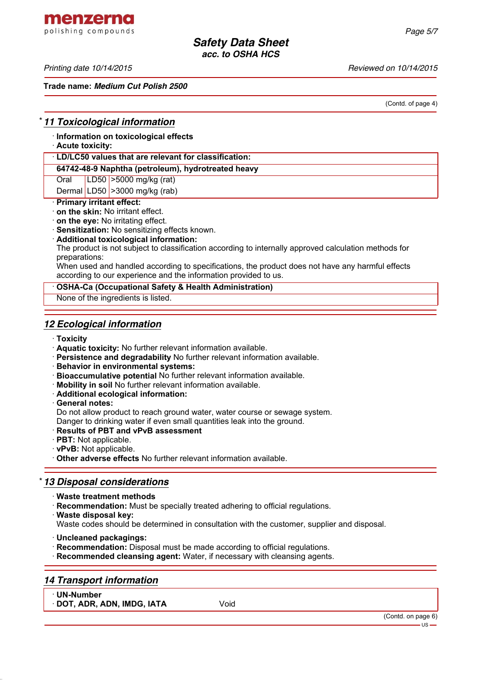menzerna polishing compounds

*Printing date 10/14/2015 Reviewed on 10/14/2015*

**Trade name:** *Medium Cut Polish 2500*

(Contd. of page 4)

## \* *11 Toxicological information*

· **Information on toxicological effects**

## · **Acute toxicity:**

## · **LD/LC50 values that are relevant for classification:**

**64742-48-9 Naphtha (petroleum), hydrotreated heavy**

Oral LD50 >5000 mg/kg (rat)

Dermal LD50  $\geq$ 3000 mg/kg (rab)

## · **Primary irritant effect:**

- · **on the skin:** No irritant effect.
- · **on the eye:** No irritating effect.
- · **Sensitization:** No sensitizing effects known.
- · **Additional toxicological information:**

The product is not subject to classification according to internally approved calculation methods for preparations:

When used and handled according to specifications, the product does not have any harmful effects according to our experience and the information provided to us.

#### · **OSHA-Ca (Occupational Safety & Health Administration)**

None of the ingredients is listed.

## *12 Ecological information*

- · **Toxicity**
- · **Aquatic toxicity:** No further relevant information available.
- · **Persistence and degradability** No further relevant information available.
- · **Behavior in environmental systems:**
- · **Bioaccumulative potential** No further relevant information available.
- · **Mobility in soil** No further relevant information available.
- · **Additional ecological information:**
- · **General notes:**

Do not allow product to reach ground water, water course or sewage system.

Danger to drinking water if even small quantities leak into the ground.

- · **Results of PBT and vPvB assessment**
- · **PBT:** Not applicable.
- · **vPvB:** Not applicable.
- · **Other adverse effects** No further relevant information available.

## \* *13 Disposal considerations*

- · **Waste treatment methods**
- · **Recommendation:** Must be specially treated adhering to official regulations.
- · **Waste disposal key:**
- Waste codes should be determined in consultation with the customer, supplier and disposal.
- · **Uncleaned packagings:**
- · **Recommendation:** Disposal must be made according to official regulations.
- · **Recommended cleansing agent:** Water, if necessary with cleansing agents.

## *14 Transport information*

· **UN-Number**

· **DOT, ADR, ADN, IMDG, IATA** Void

(Contd. on page 6)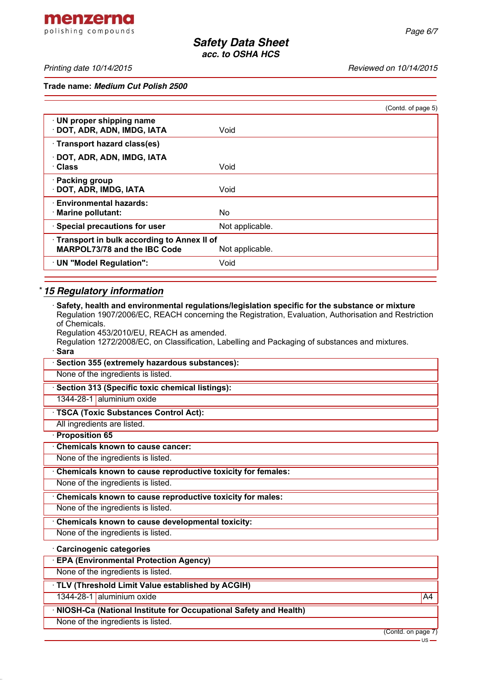menzerna polishing compounds

*Printing date 10/14/2015 Reviewed on 10/14/2015*

**Trade name:** *Medium Cut Polish 2500*

|                                                                                   |                 | (Contd. of page 5) |
|-----------------------------------------------------------------------------------|-----------------|--------------------|
| · UN proper shipping name<br>DOT, ADR, ADN, IMDG, IATA                            | Void            |                    |
| · Transport hazard class(es)                                                      |                 |                    |
| · DOT, ADR, ADN, IMDG, IATA<br>· Class                                            | Void            |                    |
| · Packing group<br>· DOT, ADR, IMDG, IATA                                         | Void            |                    |
| <b>Environmental hazards:</b><br>· Marine pollutant:                              | No.             |                    |
| · Special precautions for user                                                    | Not applicable. |                    |
| Transport in bulk according to Annex II of<br><b>MARPOL73/78 and the IBC Code</b> | Not applicable. |                    |
| · UN "Model Regulation":                                                          | Void            |                    |
|                                                                                   |                 |                    |

## \* *15 Regulatory information*

| $\cdot$ Safety, health and environmental regulations/legislation specific for the substance or mixture<br>Regulation 1907/2006/EC, REACH concerning the Registration, Evaluation, Authorisation and Restriction |
|-----------------------------------------------------------------------------------------------------------------------------------------------------------------------------------------------------------------|
| of Chemicals.                                                                                                                                                                                                   |
| Regulation 453/2010/EU, REACH as amended.<br>Regulation 1272/2008/EC, on Classification, Labelling and Packaging of substances and mixtures.                                                                    |
| · Sara                                                                                                                                                                                                          |
| · Section 355 (extremely hazardous substances):                                                                                                                                                                 |
| None of the ingredients is listed.                                                                                                                                                                              |
| · Section 313 (Specific toxic chemical listings):                                                                                                                                                               |
| 1344-28-1 aluminium oxide                                                                                                                                                                                       |
| · TSCA (Toxic Substances Control Act):                                                                                                                                                                          |
| All ingredients are listed.                                                                                                                                                                                     |
| · Proposition 65                                                                                                                                                                                                |
| Chemicals known to cause cancer:                                                                                                                                                                                |
| None of the ingredients is listed.                                                                                                                                                                              |
| Chemicals known to cause reproductive toxicity for females:                                                                                                                                                     |
| None of the ingredients is listed.                                                                                                                                                                              |
| Chemicals known to cause reproductive toxicity for males:                                                                                                                                                       |
| None of the ingredients is listed.                                                                                                                                                                              |
| Chemicals known to cause developmental toxicity:                                                                                                                                                                |
| None of the ingredients is listed.                                                                                                                                                                              |
| · Carcinogenic categories                                                                                                                                                                                       |
| · EPA (Environmental Protection Agency)                                                                                                                                                                         |
| None of the ingredients is listed.                                                                                                                                                                              |
| · TLV (Threshold Limit Value established by ACGIH)                                                                                                                                                              |
| 1344-28-1 aluminium oxide<br>A4                                                                                                                                                                                 |
| · NIOSH-Ca (National Institute for Occupational Safety and Health)                                                                                                                                              |
| None of the ingredients is listed.                                                                                                                                                                              |

(Contd. on page 7)